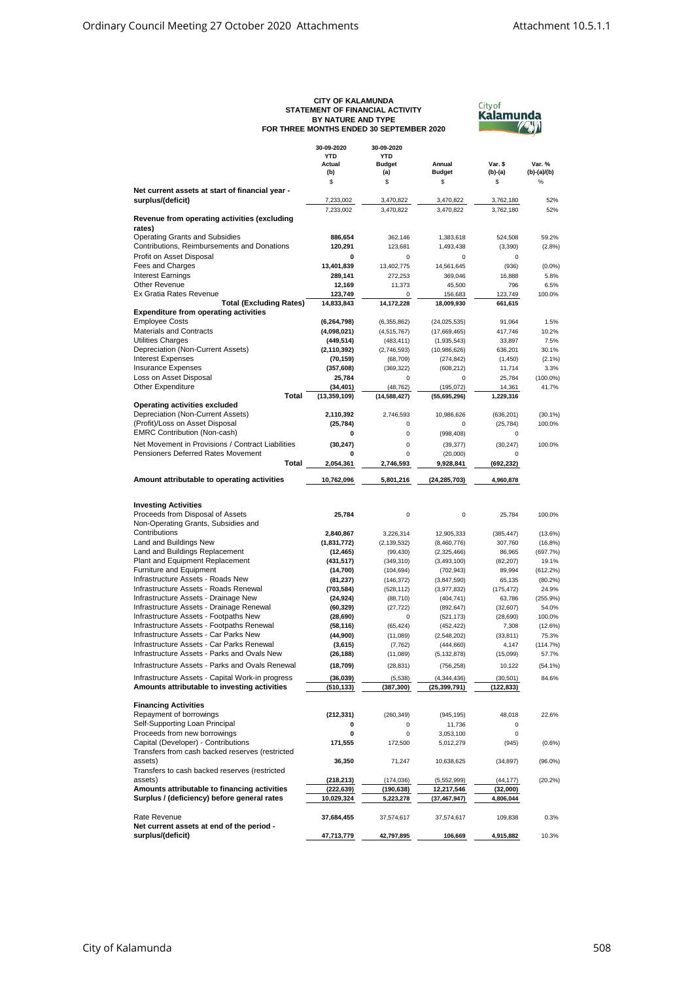| <b>CITY OF KALAMUNDA</b>                 |
|------------------------------------------|
| STATEMENT OF FINANCIAL ACTIVITY          |
| BY NATURE AND TYPE                       |
| FOR THREE MONTHS ENDED 30 SEPTEMBER 2020 |



|                                                   | 30-09-2020     | 30-09-2020           |                         |                      |             |
|---------------------------------------------------|----------------|----------------------|-------------------------|----------------------|-------------|
|                                                   | <b>YTD</b>     | YTD                  |                         |                      | Var. %      |
|                                                   | Actual<br>(b)  | <b>Budget</b><br>(a) | Annual<br><b>Budget</b> | Var. \$<br>$(b)-(a)$ | (b)-(a)/(b) |
|                                                   | \$             | \$                   | \$                      | \$                   | $\%$        |
| Net current assets at start of financial year -   |                |                      |                         |                      |             |
| surplus/(deficit)                                 | 7,233,002      | 3,470,822            | 3,470,822               | 3,762,180            | 52%         |
|                                                   | 7,233,002      | 3,470,822            | 3,470,822               | 3,762,180            | 52%         |
| Revenue from operating activities (excluding      |                |                      |                         |                      |             |
| rates)                                            |                |                      |                         |                      |             |
| <b>Operating Grants and Subsidies</b>             | 886,654        | 362,146              | 1,383,618               | 524,508              | 59.2%       |
| Contributions, Reimbursements and Donations       | 120,291        | 123,681              | 1,493,438               | (3,390)              | (2.8%)      |
| Profit on Asset Disposal                          | 0              | 0                    | 0                       | 0                    |             |
| Fees and Charges                                  | 13,401,839     | 13,402,775           | 14,561,645              | (936)                | $(0.0\%)$   |
| <b>Interest Earnings</b>                          | 289,141        | 272,253              | 369,046                 | 16,888               | 5.8%        |
| Other Revenue                                     | 12,169         | 11,373               | 45,500                  | 796                  | 6.5%        |
| Ex Gratia Rates Revenue                           | 123.749        | 0                    | 156,683                 | 123,749              | 100.0%      |
| <b>Total (Excluding Rates)</b>                    | 14,833,843     | 14,172,228           | 18,009,930              | 661,615              |             |
| <b>Expenditure from operating activities</b>      |                |                      |                         |                      |             |
| <b>Employee Costs</b>                             | (6, 264, 798)  | (6,355,862)          | (24, 025, 535)          | 91,064               | 1.5%        |
| <b>Materials and Contracts</b>                    | (4,098,021)    | (4, 515, 767)        | (17,669,465)            | 417,746              | 10.2%       |
| <b>Utilities Charges</b>                          | (449, 514)     | (483, 411)           | (1,935,543)             | 33,897               | 7.5%        |
| Depreciation (Non-Current Assets)                 | (2, 110, 392)  | (2,746,593)          | (10,986,626)            | 636,201              | 30.1%       |
| <b>Interest Expenses</b>                          |                |                      |                         |                      |             |
| <b>Insurance Expenses</b>                         | (70, 159)      | (68, 709)            | (274, 842)              | (1, 450)             | $(2.1\%)$   |
| Loss on Asset Disposal                            | (357, 608)     | (369, 322)           | (608, 212)              | 11,714               | 3.3%        |
|                                                   | 25,784         | 0                    | 0                       | 25,784               | $(100.0\%)$ |
| Other Expenditure                                 | (34, 401)      | (48, 762)            | (195, 072)              | 14,361               | 41.7%       |
| Total                                             | (13, 359, 109) | (14, 588, 427)       | (55, 695, 296)          | 1,229,316            |             |
| <b>Operating activities excluded</b>              |                |                      |                         |                      |             |
| Depreciation (Non-Current Assets)                 | 2,110,392      | 2,746,593            | 10,986,626              | (636, 201)           | $(30.1\%)$  |
| (Profit)/Loss on Asset Disposal                   | (25, 784)      | 0                    | 0                       | (25, 784)            | 100.0%      |
| <b>EMRC Contribution (Non-cash)</b>               | 0              | 0                    | (998, 408)              | 0                    |             |
| Net Movement in Provisions / Contract Liabilities | (30, 247)      | 0                    | (39, 377)               | (30, 247)            | 100.0%      |
| Pensioners Deferred Rates Movement                | ŋ              | 0                    | (20,000)                | 0                    |             |
| Total                                             | 2,054,361      | 2,746,593            | 9,928,841               | (692,232)            |             |
|                                                   |                |                      |                         |                      |             |
| Amount attributable to operating activities       | 10,762,096     | 5,801,216            | (24, 285, 703)          | 4,960,878            |             |
|                                                   |                |                      |                         |                      |             |
|                                                   |                |                      |                         |                      |             |
| <b>Investing Activities</b>                       |                |                      |                         |                      |             |
| Proceeds from Disposal of Assets                  | 25,784         | 0                    | 0                       | 25,784               | 100.0%      |
| Non-Operating Grants, Subsidies and               |                |                      |                         |                      |             |
| Contributions                                     | 2,840,867      | 3,226,314            | 12,905,333              | (385, 447)           | (13.6%)     |
| Land and Buildings New                            | (1,831,772)    | (2, 139, 532)        | (8,460,776)             | 307,760              | (16.8%)     |
| Land and Buildings Replacement                    | (12, 465)      | (99, 430)            | (2,325,466)             | 86,965               | (697.7%)    |
| Plant and Equipment Replacement                   | (431, 517)     | (349, 310)           | (3,493,100)             | (82, 207)            | 19.1%       |
| <b>Furniture and Equipment</b>                    | (14, 700)      | (104, 694)           | (702, 943)              | 89,994               | (612.2%)    |
| Infrastructure Assets - Roads New                 | (81, 237)      | (146, 372)           | (3,847,590)             | 65,135               | (80.2%)     |
| Infrastructure Assets - Roads Renewal             | (703, 584)     | (528, 112)           | (3,977,832)             | (175, 472)           | 24.9%       |
| Infrastructure Assets - Drainage New              | (24, 924)      | (88, 710)            | (404, 741)              | 63,786               | (255.9%)    |
| Infrastructure Assets - Drainage Renewal          | (60, 329)      | (27, 722)            | (892, 647)              | (32, 607)            | 54.0%       |
| Infrastructure Assets - Footpaths New             | (28, 690)      | 0                    | (521, 173)              | (28, 690)            | 100.0%      |
| Infrastructure Assets - Footpaths Renewal         | (58, 116)      | (65, 424)            | (452, 422)              | 7,308                | (12.6%)     |
| Infrastructure Assets - Car Parks New             | (44,900)       | (11,089)             | (2, 548, 202)           | (33, 811)            | 75.3%       |
| Infrastructure Assets - Car Parks Renewal         | (3,615)        | (7, 762)             | (444, 660)              | 4,147                | (114.7%)    |
| Infrastructure Assets - Parks and Ovals New       | (26, 188)      | (11,089)             | (5, 132, 878)           | (15,099)             | 57.7%       |
|                                                   |                |                      |                         |                      |             |
| Infrastructure Assets - Parks and Ovals Renewal   | (18, 709)      | (28, 831)            | (756, 258)              | 10,122               | $(54.1\%)$  |
| Infrastructure Assets - Capital Work-in progress  | (36,039)       | (5,538)              | (4, 344, 436)           | (30, 501)            | 84.6%       |
| Amounts attributable to investing activities      | (510, 133)     | (387, 300)           | (25, 399, 791)          | (122,833)            |             |
|                                                   |                |                      |                         |                      |             |
| <b>Financing Activities</b>                       |                |                      |                         |                      |             |
| Repayment of borrowings                           | (212, 331)     | (260, 349)           | (945, 195)              | 48,018               | 22.6%       |
| Self-Supporting Loan Principal                    | 0              | 0                    | 11,736                  | 0                    |             |
| Proceeds from new borrowings                      | 0              | 0                    | 3,053,100               | 0                    |             |
| Capital (Developer) - Contributions               | 171,555        | 172,500              | 5,012,279               | (945)                | (0.6%)      |
| Transfers from cash backed reserves (restricted   |                |                      |                         |                      |             |
| assets)                                           | 36,350         | 71,247               | 10,638,625              | (34, 897)            | $(96.0\%)$  |
|                                                   |                |                      |                         |                      |             |
| Transfers to cash backed reserves (restricted     |                |                      |                         |                      |             |
| assets)                                           | (218, 213)     | (174, 036)           | (5,552,999)             | (44, 177)            | (20.2%)     |
| Amounts attributable to financing activities      | (222, 639)     | (190, 638)           | 12,217,546              | (32,000)             |             |
| Surplus / (deficiency) before general rates       | 10,029,324     | 5,223,278            | (37, 467, 947)          | 4,806,044            |             |
|                                                   |                |                      |                         |                      |             |
| Rate Revenue                                      | 37,684,455     | 37,574,617           | 37,574,617              | 109,838              | 0.3%        |
| Net current assets at end of the period -         |                |                      |                         |                      |             |
| surplus/(deficit)                                 | 47,713,779     | 42,797,895           | 106,669                 | 4,915,882            | 10.3%       |